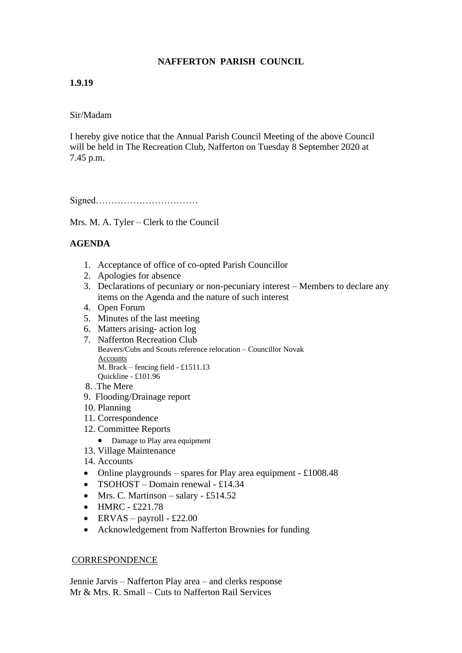# **NAFFERTON PARISH COUNCIL**

## **1.9.19**

### Sir/Madam

I hereby give notice that the Annual Parish Council Meeting of the above Council will be held in The Recreation Club, Nafferton on Tuesday 8 September 2020 at 7.45 p.m.

Signed……………………………

Mrs. M. A. Tyler – Clerk to the Council

## **AGENDA**

- 1. Acceptance of office of co-opted Parish Councillor
- 2. Apologies for absence
- 3. Declarations of pecuniary or non-pecuniary interest Members to declare any items on the Agenda and the nature of such interest
- 4. Open Forum
- 5. Minutes of the last meeting
- 6. Matters arising- action log
- 7. Nafferton Recreation Club Beavers/Cubs and Scouts reference relocation – Councillor Novak Accounts M. Brack – fencing field - £1511.13 Quickline - £101.96
- 8. .The Mere
- 9. Flooding/Drainage report
- 10. Planning
- 11. Correspondence
- 12. Committee Reports
	- Damage to Play area equipment
- 13. Village Maintenance
- 14. Accounts
- Online playgrounds spares for Play area equipment  $\text{\pounds}1008.48$
- TSOHOST Domain renewal £14.34
- Mrs. C. Martinson salary £514.52
- $\bullet$  HMRC £221.78
- ERVAS payroll £22.00
- Acknowledgement from Nafferton Brownies for funding

#### **CORRESPONDENCE**

Jennie Jarvis – Nafferton Play area – and clerks response Mr & Mrs. R. Small – Cuts to Nafferton Rail Services